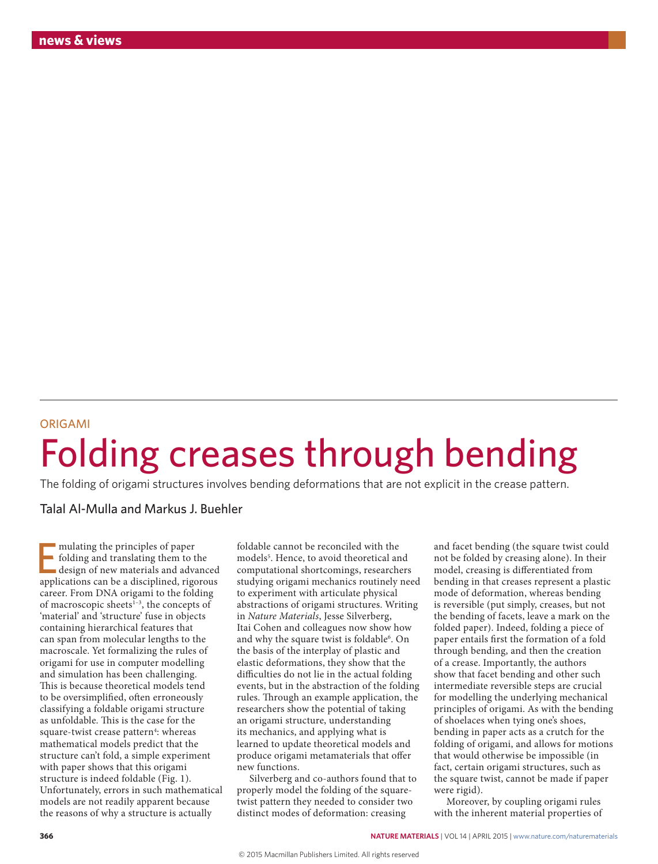## ORIGAMI Folding creases through bending

The folding of origami structures involves bending deformations that are not explicit in the crease pattern.

Talal Al-Mulla and Markus J. Buehler

mulating the principles of paper<br>folding and translating them to the<br>design of new materials and advanced<br>applications can be a disciplined, rigorous mulating the principles of paper folding and translating them to the design of new materials and advanced career. From DNA origami to the folding of macroscopic sheets<sup>1-3</sup>, the concepts of 'material' and 'structure' fuse in objects containing hierarchical features that can span from molecular lengths to the macroscale. Yet formalizing the rules of origami for use in computer modelling and simulation has been challenging. This is because theoretical models tend to be oversimplified, often erroneously classifying a foldable origami structure as unfoldable. This is the case for the square-twist crease pattern<sup>4</sup>: whereas mathematical models predict that the structure can't fold, a simple experiment with paper shows that this origami structure is indeed foldable (Fig. 1). Unfortunately, errors in such mathematical models are not readily apparent because the reasons of why a structure is actually

foldable cannot be reconciled with the models<sup>5</sup>. Hence, to avoid theoretical and computational shortcomings, researchers studying origami mechanics routinely need to experiment with articulate physical abstractions of origami structures. Writing in *Nature Materials*, Jesse Silverberg, Itai Cohen and colleagues now show how and why the square twist is foldable<sup>6</sup>. On the basis of the interplay of plastic and elastic deformations, they show that the difficulties do not lie in the actual folding events, but in the abstraction of the folding rules. Through an example application, the researchers show the potential of taking an origami structure, understanding its mechanics, and applying what is learned to update theoretical models and produce origami metamaterials that offer new functions.

Silverberg and co-authors found that to properly model the folding of the squaretwist pattern they needed to consider two distinct modes of deformation: creasing

and facet bending (the square twist could not be folded by creasing alone). In their model, creasing is differentiated from bending in that creases represent a plastic mode of deformation, whereas bending is reversible (put simply, creases, but not the bending of facets, leave a mark on the folded paper). Indeed, folding a piece of paper entails first the formation of a fold through bending, and then the creation of a crease. Importantly, the authors show that facet bending and other such intermediate reversible steps are crucial for modelling the underlying mechanical principles of origami. As with the bending of shoelaces when tying one's shoes, bending in paper acts as a crutch for the folding of origami, and allows for motions that would otherwise be impossible (in fact, certain origami structures, such as the square twist, cannot be made if paper were rigid).

Moreover, by coupling origami rules with the inherent material properties of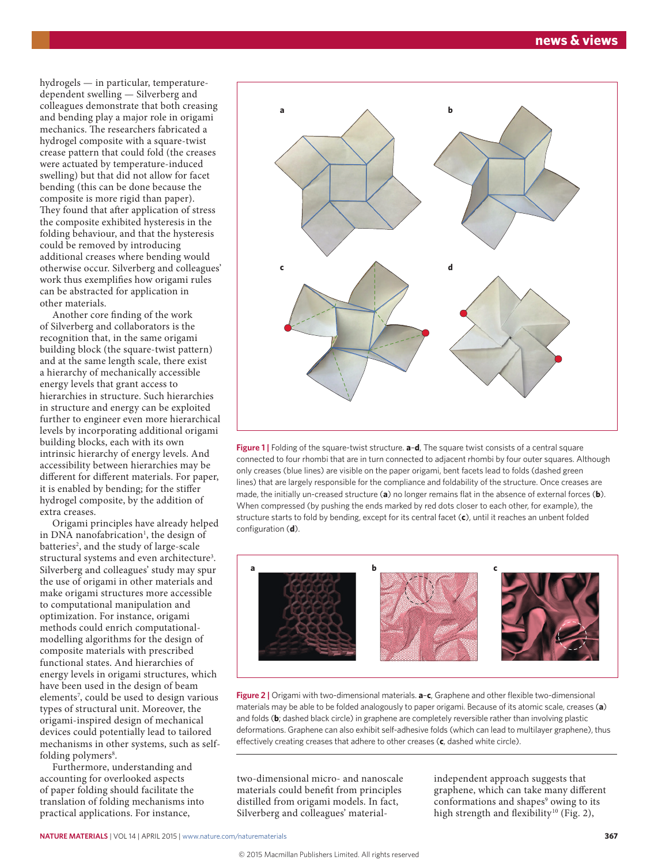hydrogels — in particular, temperaturedependent swelling — Silverberg and colleagues demonstrate that both creasing and bending play a major role in origami mechanics. The researchers fabricated a hydrogel composite with a square-twist crease pattern that could fold (the creases were actuated by temperature-induced swelling) but that did not allow for facet bending (this can be done because the composite is more rigid than paper). They found that after application of stress the composite exhibited hysteresis in the folding behaviour, and that the hysteresis could be removed by introducing additional creases where bending would otherwise occur. Silverberg and colleagues' work thus exemplifies how origami rules can be abstracted for application in other materials.

Another core finding of the work of Silverberg and collaborators is the recognition that, in the same origami building block (the square-twist pattern) and at the same length scale, there exist a hierarchy of mechanically accessible energy levels that grant access to hierarchies in structure. Such hierarchies in structure and energy can be exploited further to engineer even more hierarchical levels by incorporating additional origami building blocks, each with its own intrinsic hierarchy of energy levels. And accessibility between hierarchies may be different for different materials. For paper, it is enabled by bending; for the stiffer hydrogel composite, by the addition of extra creases.

Origami principles have already helped in DNA nanofabrication<sup>1</sup>, the design of batteries<sup>2</sup>, and the study of large-scale structural systems and even architecture<sup>3</sup>. Silverberg and colleagues' study may spur the use of origami in other materials and make origami structures more accessible to computational manipulation and optimization. For instance, origami methods could enrich computationalmodelling algorithms for the design of composite materials with prescribed functional states. And hierarchies of energy levels in origami structures, which have been used in the design of beam elements<sup>7</sup>, could be used to design various types of structural unit. Moreover, the origami-inspired design of mechanical devices could potentially lead to tailored mechanisms in other systems, such as selffolding polymers<sup>8</sup>.

Furthermore, understanding and accounting for overlooked aspects of paper folding should facilitate the translation of folding mechanisms into practical applications. For instance,



**Figure 1 |** Folding of the square-twist structure. **a**–**d**, The square twist consists of a central square connected to four rhombi that are in turn connected to adjacent rhombi by four outer squares. Although only creases (blue lines) are visible on the paper origami, bent facets lead to folds (dashed green lines) that are largely responsible for the compliance and foldability of the structure. Once creases are made, the initially un-creased structure (**a**) no longer remains flat in the absence of external forces (**b**). When compressed (by pushing the ends marked by red dots closer to each other, for example), the structure starts to fold by bending, except for its central facet (**c**), until it reaches an unbent folded configuration (**d**).



**Figure 2 |** Origami with two-dimensional materials. **a**–**c**, Graphene and other flexible two-dimensional materials may be able to be folded analogously to paper origami. Because of its atomic scale, creases (**a**) and folds (**b**; dashed black circle) in graphene are completely reversible rather than involving plastic deformations. Graphene can also exhibit self-adhesive folds (which can lead to multilayer graphene), thus effectively creating creases that adhere to other creases (**c**, dashed white circle).

two-dimensional micro- and nanoscale materials could benefit from principles distilled from origami models. In fact, Silverberg and colleagues' materialindependent approach suggests that graphene, which can take many different conformations and shapes<sup>9</sup> owing to its high strength and flexibility<sup>10</sup> (Fig. 2),